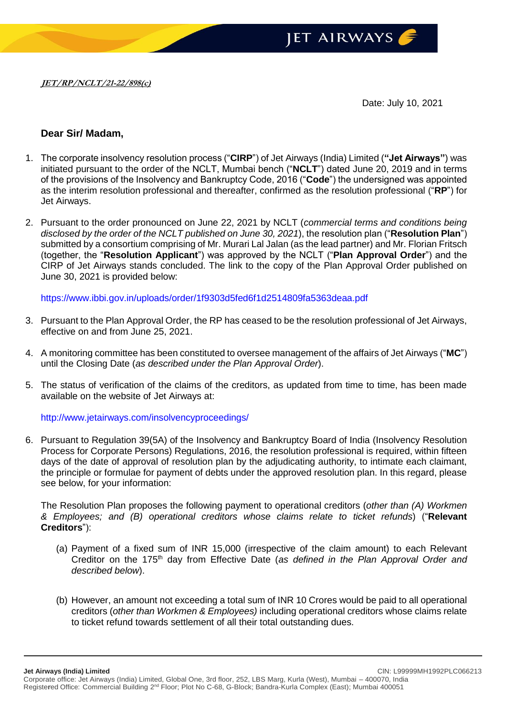

Date: July 10, 2021

## **Dear Sir/ Madam,**

- 1. The corporate insolvency resolution process ("**CIRP**") of Jet Airways (India) Limited (**"Jet Airways"**) was initiated pursuant to the order of the NCLT, Mumbai bench ("**NCLT**") dated June 20, 2019 and in terms of the provisions of the Insolvency and Bankruptcy Code, 2016 ("**Code**") the undersigned was appointed as the interim resolution professional and thereafter, confirmed as the resolution professional ("**RP**") for Jet Airways.
- 2. Pursuant to the order pronounced on June 22, 2021 by NCLT (*commercial terms and conditions being disclosed by the order of the NCLT published on June 30, 2021*), the resolution plan ("**Resolution Plan**") submitted by a consortium comprising of Mr. Murari Lal Jalan (as the lead partner) and Mr. Florian Fritsch (together, the "**Resolution Applicant**") was approved by the NCLT ("**Plan Approval Order**") and the CIRP of Jet Airways stands concluded. The link to the copy of the Plan Approval Order published on June 30, 2021 is provided below:

<https://www.ibbi.gov.in/uploads/order/1f9303d5fed6f1d2514809fa5363deaa.pdf>

- 3. Pursuant to the Plan Approval Order, the RP has ceased to be the resolution professional of Jet Airways, effective on and from June 25, 2021.
- 4. A monitoring committee has been constituted to oversee management of the affairs of Jet Airways ("**MC**") until the Closing Date (*as described under the Plan Approval Order*).
- 5. The status of verification of the claims of the creditors, as updated from time to time, has been made available on the website of Jet Airways at:

<http://www.jetairways.com/insolvencyproceedings/>

6. Pursuant to Regulation 39(5A) of the Insolvency and Bankruptcy Board of India (Insolvency Resolution Process for Corporate Persons) Regulations, 2016, the resolution professional is required, within fifteen days of the date of approval of resolution plan by the adjudicating authority, to intimate each claimant, the principle or formulae for payment of debts under the approved resolution plan. In this regard, please see below, for your information:

The Resolution Plan proposes the following payment to operational creditors (*other than (A) Workmen & Employees; and (B) operational creditors whose claims relate to ticket refunds*) ("**Relevant Creditors**"):

- (a) Payment of a fixed sum of INR 15,000 (irrespective of the claim amount) to each Relevant Creditor on the 175th day from Effective Date (*as defined in the Plan Approval Order and described below*).
- (b) However, an amount not exceeding a total sum of INR 10 Crores would be paid to all operational creditors (*other than Workmen & Employees)* including operational creditors whose claims relate to ticket refund towards settlement of all their total outstanding dues.